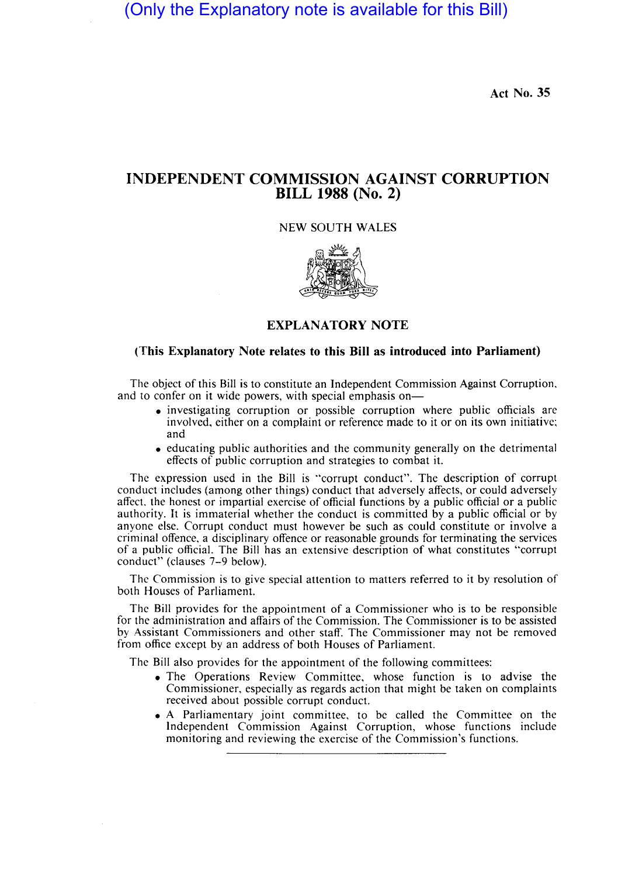(Only the Explanatory note is available for this Bill)

Act No. 35

# INDEPENDENT COMMISSION AGAINST CORRUPTION BILL 1988 (No. 2)

## NEW SOUTH WALES



## EXPLANATORY NOTE

## (This Explanatory Note relates to this Bill as introduced into Parliament)

The object of this Bill is to constitute an Independent Commission Against Corruption, and to confer on it wide powers, with special emphasis on-

- investigating corruption or possible corruption where public officials are involved, either on a complaint or reference made to it or on its own initiative; and
- educating public authorities and the community generally on the detrimental effects of public corruption and strategies to combat it.

The expression used in the Bill is "corrupt conduct". The description of corrupt conduct includes (among other things) conduct that adversely affects, or could adversely affect. the honest or impartial exercise of official functions by a public official or a public authority. It is immaterial whether the conduct is committed by a public official or by anyone else. Corrupt conduct must however be such as could constitute or involve a criminal offence, a disciplinary offence or reasonable grounds for terminating the services of a public official. The Bill has an extensive description of what constitutes "corrupt conduct" (clauses 7-9 below).

The Commission is to give special attention to matters referred to it by resolution of both Houses of Parliament.

The Bill provides for the appointment of a Commissioner who is to be responsible for the administration and affairs of the Commission. The Commissioner is to be assisted by Assistant Commissioners and other staff. The Commissioner may not be removed from office except by an address of both Houses of Parliament.

The Bill also provides for the appointment of the following committees:

- The Operations Review Committee, whose function is to advise the Commissioner, especially as regards action that might be taken on complaints received about possible corrupt conduct.
- A Parliamentary joint committee, to be called the Committee on the Independent Commission Against Corruption, whose functions include monitoring and reviewing the exercise of the Commission's functions.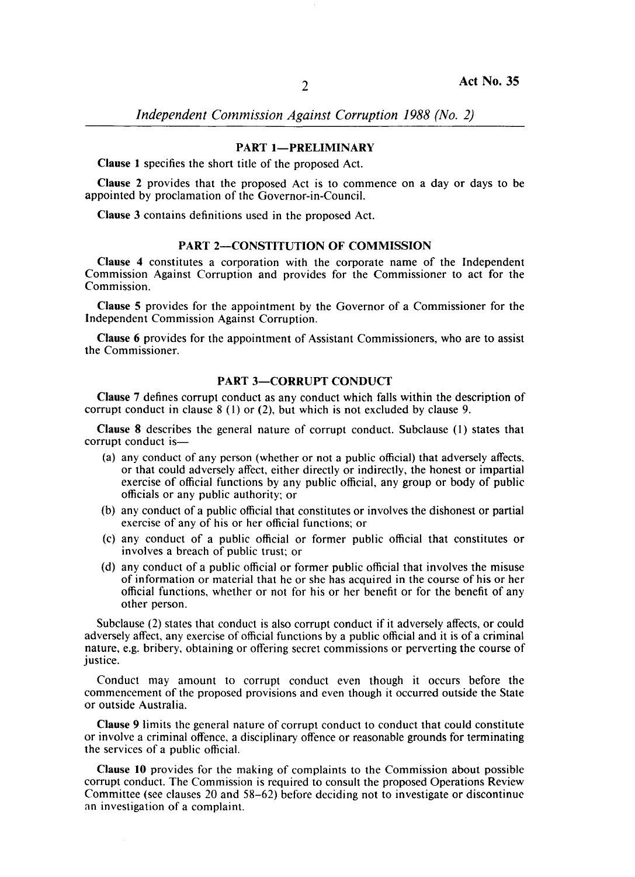## PART 1-PRELIMINARY

Clause 1 specifies the short title of the proposed Act.

Clause 2 provides that the proposed Act is to commence on a day or days to be appointed by proclamation of the Governor-in-Council.

Clause 3 contains definitions used in the proposed Act.

### PART 2-CONSTITUTION OF COMMISSION

Clause 4 constitutes a corporation with the corporate name of the Independent Commission Against Corruption and provides for the Commissioner to act for the Commission.

Clause 5 provides for the appointment by the Governor of a Commissioner for the Independent Commission Against Corruption.

Clause 6 provides for the appointment of Assistant Commissioners, who are to assist the Commissioner.

### PART 3-CORRUPT CONDUCT

Clause 7 defines corrupt conduct as any conduct which falls within the description of corrupt conduct in clause 8 (I) or (2), but which is not excluded by clause 9.

Clause 8 describes the general nature of corrupt conduct. Subclause (I) states that corrupt conduct is-

- (a) any conduct of any person (whether or not a public official) that adversely affects, or that could adversely affect, either directly or indirectly, the honest or impartial exercise of official functions by any public official, any group or body of public officials or any public authority; or
- (b) any conduct of a public official that constitutes or involves the dishonest or partial exercise of any of his or her official functions; or
- (c) any conduct of a public official or former public official that constitutes or involves a breach of public trust; or
- (d) any conduct of a public official or former public official that involves the misuse of information or material that he or she has acquired in the course of his or her official functions, whether or not for his or her benefit or for the benefit of any other person.

Subclause (2) states that conduct is also corrupt conduct if it adversely affects, or could adversely affect, any exercise of official functions by a public official and it is of a criminal nature, e.g. bribery, obtaining or offering secret commissions or perverting the course of justice.

Conduct may amount to corrupt conduct even though it occurs before the commencement of the proposed provisions and even though it occurred outside the State or outside Australia.

Clause 9 limits the general nature of corrupt conduct to conduct that could constitute or involve a criminal offence, a disciplinary offence or reasonable grounds for terminating the services of a public official.

Clause 10 provides for the making of complaints to the Commission about possible corrupt conduct. The Commission is required to consult the proposed Operations Review Committee (see clauses 20 and 58-62) before deciding not to investigate or discontinue an investigation of a complaint.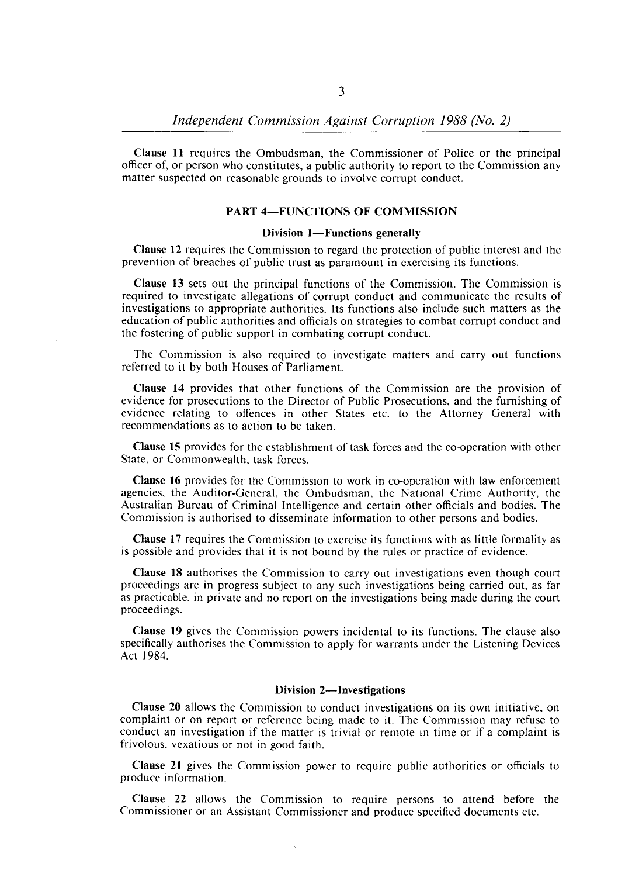Clause 11 requires the Ombudsman, the Commissioner of Police or the principal officer of, or person who constitutes, a public authority to report to the Commission any matter suspected on reasonable grounds to involve corrupt conduct.

### PART 4-FUNCTIONS OF COMMISSION

#### Division 1-Functions generally

Clause 12 requires the Commission to regard the protection of public interest and the prevention of breaches of public trust as paramount in exercising its functions.

Clause 13 sets out the principal functions of the Commission. The Commission is required to investigate allegations of corrupt conduct and communicate the results of investigations to appropriate authorities. Its functions also include such matters as the education of public authorities and officials on strategies to combat corrupt conduct and the fostering of public support in combating corrupt conduct.

The Commission is also required to investigate matters and carry out functions referred to it by both Houses of Parliament.

Clause 14 provides that other functions of the Commission are the provision of evidence for prosecutions to the Director of Public Prosecutions, and the furnishing of evidence relating to offences in other States etc. to the Attorney General with recommendations as to action to be taken.

Clause 15 provides for the establishment of task forces and the co-operation with other State, or Commonwealth, task forces.

Clause 16 provides for the Commission to work in co-operation with law enforcement agencies, the Auditor-General, the Ombudsman, the National Crime Authority, the Australian Bureau of Criminal Intelligence and certain other officials and bodies. The Commission is authorised to disseminate information to other persons and bodies.

Clause 17 requires the Commission to exercise its functions with as little formality as is possible and provides that it is not bound by the rules or practice of evidence.

Clause 18 authorises the Commission to carry out investigations even though court proceedings are in progress subject to any such investigations being carried out, as far as practicable, in private and no report on the investigations being made during the court proceedings.

Clause 19 gives the Commission powers incidental to its functions. The clause also specifically authorises the Commission to apply for warrants under the Listening Devices Act 1984.

#### Division 2-Investigations

Clause 20 allows the Commission to conduct investigations on its own initiative, on complaint or on report or reference being made' to it. The Commission may refuse to conduct an investigation if the matter is trivial or remote in time or if a complaint is frivolous, vexatious or not in good faith.

Clause 21 gives the Commission power to require public authorities or officials to produce information.

Clause 22 allows the Commission to require persons to attend before the Commissioner or an Assistant Commissioner and produce specified documents etc.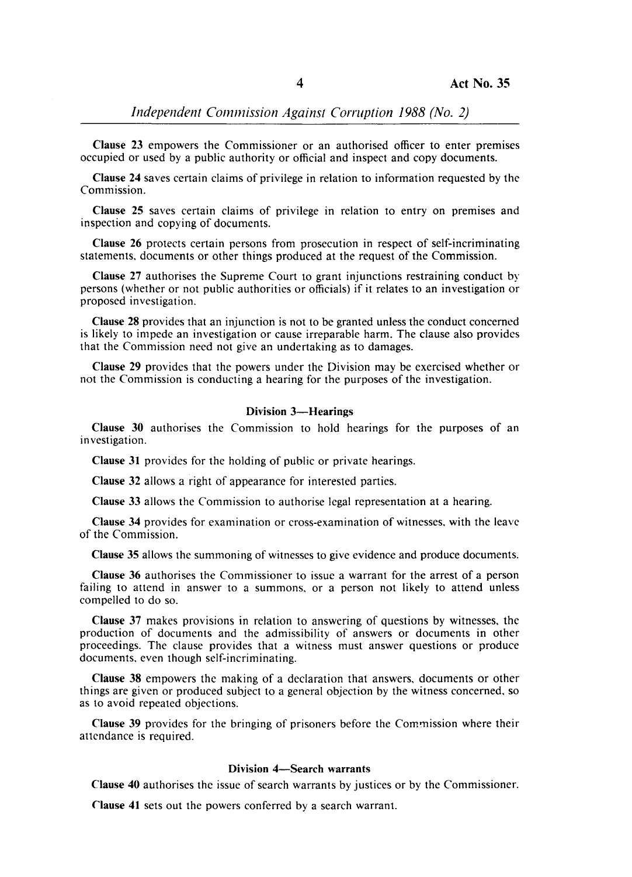*Independent Commission Against Corruption 1988 (No. 2)* 

Clause 23 empowers the Commissioner or an authorised officer to enter premises occupied or used by a public authority or official and inspect and copy documents.

Clause 24 saves certain claims of privilege in relation to information requested by the Commission.

Clause 25 saves certain claims of privilege in relation to entry on premises and inspection and copying of documents.

Clause 26 protects certain persons from prosecution in respect of self-incriminating statements. documents or other things produced at the request of the Commission.

Clause 27 authorises the Supreme Court to grant injunctions restraining conduct by persons (whether or not public authorities or officials) if it relates to an investigation or proposed investigation.

Clause 28 provides that an injunction is not to be granted unless the conduct concerned is likely to impede an investigation or cause irreparable harm. The clause also provides that the Commission need not give an undertaking as to damages.

Clause 29 provides that the powers under the Division may be exercised whether or not the Commission is conducting a hearing for the purposes of the investigation.

### Division 3-Hearings

Clause 30 authorises the Commission to hold hearings for the purposes of an investigation.

Clause 31 provides for the holding of public or private hearings.

Clause 32 allows a right of appearance for interested parties.

Clause 33 allows the Commission to authorise legal representation at a hearing.

Clause 34 provides for examination or cross-examination of witnesses. with the leave of the Commission.

Clause 35 allows the summoning of witnesses to give evidence and produce documents.

Clause 36 authorises the Commissioner to issue a warrant for the arrest of a person failing to attend in answer to a summons, or a person not likely to attend unless compelled to do so.

Clause 37 makes provisions in relation to answering of questions by witnesses, the production of documents and the admissibility of answers or documents in other proceedings. The clause provides that a witness must answer questions or produce documents. even though self-incriminating.

Clause 38 empowers the making of a declaration that answers, documents or other things are given or produced subject to a general objection by the witness concerned, so as to avoid repeated objections.

Clause 39 provides for the bringing of prisoners before the Commission where their attendance is required.

### Division 4-Search warrants

Clause 40 authorises the issue of search warrants by justices or by the Commissioner.

Clause 41 sets out the powers conferred by a search warrant.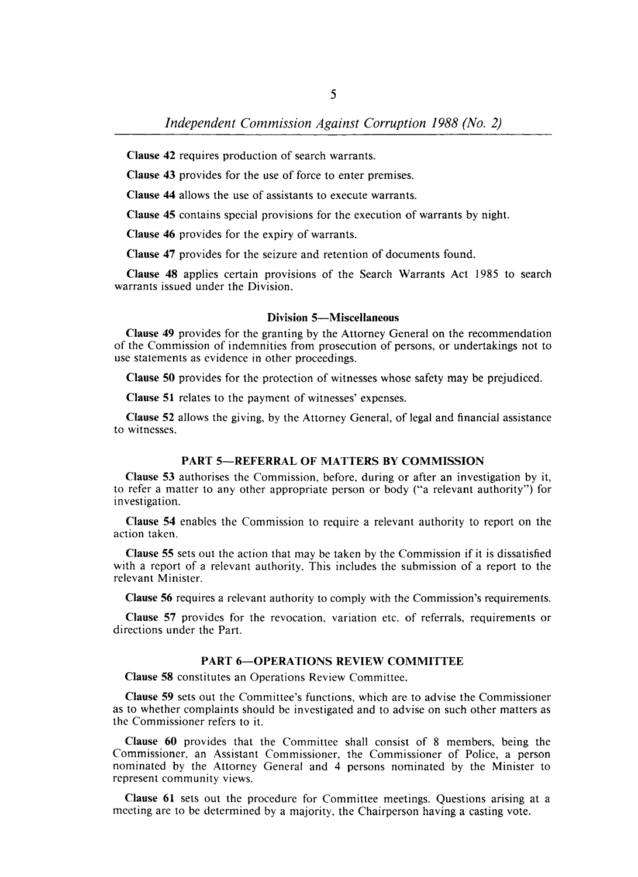Clause 42 requires production of search warrants.

Clause 43 provides for the use of force to enter premises.

Clause 44 allows the use of assistants to execute warrants.

Clause 45 contains special provisions for the execution of warrants by night.

Clause 46 provides for the expiry of warrants.

Clause 47 provides for the seizure and retention of documents found.

Clause 48 applies certain provisions of the Search Warrants Act 1985 to search warrants issued under the Division.

#### Division 5-Miscellaneous

Clause 49 provides for the granting by the Attorney General on the recommendation of the Commission of indemnities from prosecution of persons, or undertakings not to use statements as evidence in other proceedings.

Clause 50 provides for the protection of witnesses whose safety may be prejudiced.

Clause 51 relates to the payment of witnesses' expenses.

Clause 52 allows the giving, by the Attorney General, of legal and financial assistance to witnesses.

### PART 5-REFERRAL OF MATTERS BY COMMISSION

Clause 53 authorises the Commission, before, during or after an investigation by it, to refer a matter to any other appropriate person or body ("a relevant authority") for investigation.

Clause 54 enables the Commission 10 require a relevant authority to report on the action taken.

Clause 55 sets out the action that may be taken by the Commission if it is dissatisfied with a report of a relevant authority. This includes the submission of a report to the relevant Minister.

Clause 56 requires a relevant authority to comply with the Commission's requirements.

Clause 57 provides for the revocation, variation etc. of referrals, requirements or directions under the Part.

### PART 6-OPERATIONS REVIEW COMMITTEE

Clause 58 constitutes an Operations Review Committee.

Clause 59 sets out the Committee's functions, which are to advise the Commissioner as to whether complaints should be investigated and to advise on such other matters as the Commissioner refers to it.

Clause 60 provides that the Committee shall consist of 8 members, being the Commissioner, an Assistant Commissioner, the Commissioner of Police, a person nominated by the Attorney General and 4 persons nominated by the Minister to represent community views.

Clause 61 sets out the procedure for Committee meetings. Questions arising at a meeting are to be determined by a majority, the Chairperson having a casting vote.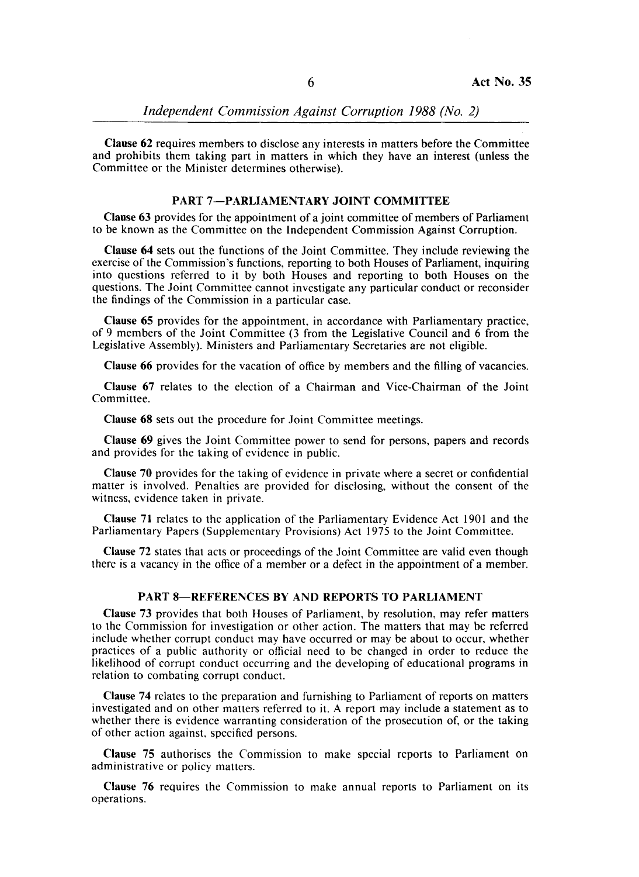Clause 62 requires members to disclose any interests in matters before the Committee and prohibits them taking part in matters in which they have an interest (unless the Committee or the Minister determines otherwise).

## PART 7-PARLIAMENTARY JOINT COMMITTEE

Clause 63 provides for the appointment of a joint committee of members of Parliament to be known as the Committee on the Independent Commission Against Corruption.

Clause 64 sets out the functions of the Joint Committee. They include reviewing the exercise of the Commission's functions, reporting to both Houses of Parliament, inquiring into questions referred to it by both Houses and reporting to both Houses on the questions. The Joint Committee cannot investigate any particular conduct or reconsider the findings of the Commission in a particular case.

Clause 65 provides for the appointment, in accordance with Parliamentary practice. of 9 members of the Joint Committee (3 from the Legislative Council and 6 from the Legislative Assembly). Ministers and Parliamentary Secretaries are not eligible.

Clause 66 provides for the vacation of office by members and the filling of vacancies.

Clause 67 relates to the election of a Chairman and Vice-Chairman of the Joint Committee.

Clause 68 sets out the procedure for Joint Committee meetings.

Clause 69 gives the Joint Committee power to send for persons, papers and records and provides for the taking of evidence in public.

Clause 70 provides for the taking of evidence in private where a secret or confidential matter is involved. Penalties are provided for disclosing, without the consent of the witness, evidence taken in private.

Clause 71 relates to the application of the Parliamentary Evidence Act 1901 and the Parliamentary Papers (Supplementary Provisions) Act 1975 to the Joint Committee.

Clause 72 states that acts or proceedings of the Joint Committee are valid even though there is a vacancy in the office of a member or a defect in the appointment of a member.

### PART 8-REFERENCES BY AND REPORTS TO PARLIAMENT

Clause 73 provides that both Houses of Parliament, by resolution, may refer matters to the Commission for investigation or other action. The matters that may be referred include whether corrupt conduct may have occurred or may be about to occur, whether practices of a public authority or official need to be changed in order to reduce the likelihood of corrupt conduct occurring and the developing of educational programs in relation to combating corrupt conduct.

Clause 74 relates to the preparation and furnishing to Parliament of reports on matters investigated and on other matters referred to it. A report may include a statement as to whether there is evidence warranting consideration of the prosecution of, or the taking of other action against, specified persons.

Clause 75 authorises the Commission to make special reports to Parliament on administrative or policy matters.

Clause 76 requires the Commission to make annual reports to Parliament on its operations.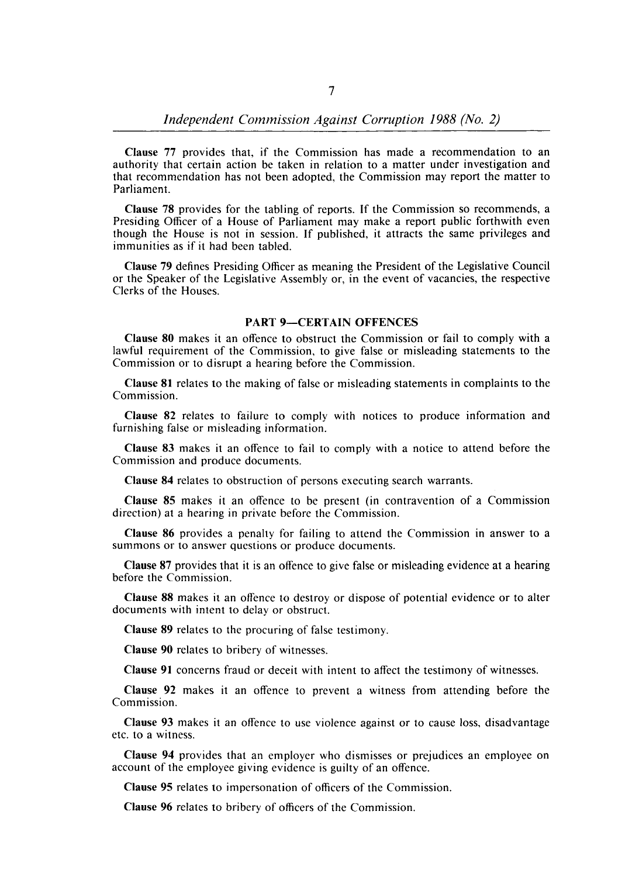Clause 77 provides that, if the Commission has made a recommendation to an authority that certain action be taken in relation to a matter under investigation and that recommendation has not been adopted, the Commission may report the matter to Parliament.

Clause 78 provides for the tabling of reports. If the Commission so recommends, a Presiding Officer of a House of Parliament may make a report public forthwith even though the House is not in session. If published, it attracts the same privileges and immunities as if it had been tabled.

Clause 79 defines Presiding Officer as meaning the President of the Legislative Council or the Speaker of the Legislative Assembly or, in the event of vacancies, the respective Clerks of the Houses.

#### **PART 9-CERTAIN OFFENCES**

Clause 80 makes it an offence to obstruct the Commission or fail to comply with a lawful requirement of the Commission, to give false or misleading statements to the Commission or to disrupt a hearing before the Commission.

Clause 81 relates to the making of false or misleading statements in complaints to the Commission.

Clause 82 relates to failure to comply with notices to produce information and furnishing false or misleading information.

Clause 83 makes it an offence to fail to comply with a notice to attend before the Commission and produce documents.

Clause 84 relates to obstruction of persons executing search warrants.

Clause 85 makes it an offence to be present (in contravention of a Commission direction) at a hearing in private before the Commission.

Clause 86 provides a penalty for failing to attend the Commission in answer to a summons or to answer questions or produce documents.

Clause 87 provides that it is an offence to give false or misleading evidence at a hearing before the Commission.

Clause 88 makes it an offence to destroy or dispose of potential evidence or to alter documents with intent to delay or obstruct.

Clause 89 relates to the procuring of false testimony.

Clause 90 relates to bribery of witnesses.

Clause 91 concerns fraud or deceit with intent to affect the testimony of witnesses.

Clause 92 makes it an offence to prevent a witness from attending before the Commission.

Clause 93 makes it an offence to use violence against or to cause loss, disadvantage etc. to a witness.

Clause 94 provides that an employer who dismisses or prejudices an employee on account of the employee giving evidence is guilty of an offence.

Clause 95 relates to impersonation of officers of the Commission.

Clause 96 relates to bribery of officers of the Commission.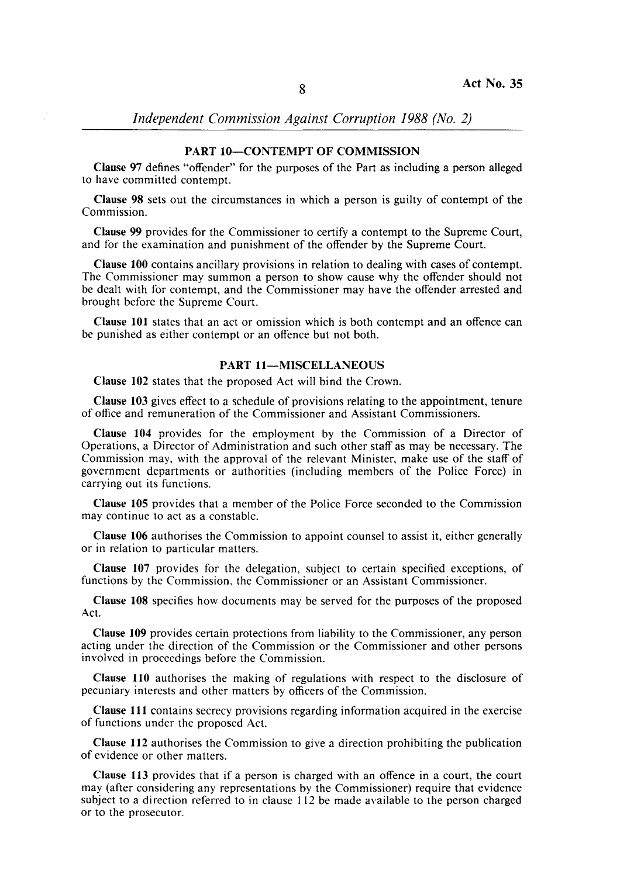*Independent Commission Against Corruption* 1988 *(No. 2)* 

## PART 10-CONTEMPT OF COMMISSION

Clause 97 defines "offender" for the purposes of the Part as including a person alleged to have committed contempt.

Clause 98 sets out the circumstances in which a person is guilty of contempt of the Commission.

Clause 99 provides for the Commissioner to certify a contempt to the Supreme Court, and for the examination and punishment of the offender by the Supreme Court.

Clause 100 contains ancillary provisions in relation to dealing with cases of contempt. The Commissioner may summon a person to show cause why the offender should not be dealt with for contempt, and the Commissioner may have the offender arrested and brought before the Supreme Court.

Clause 101 states that an act or omission which is both contempt and an offence can be punished as either contempt or an offence but not both.

## PART 11-MISCELLANEOUS

Clause 102 states that the proposed Act will bind the Crown.

Clause 103 gives effect to a schedule of provisions relating to the appointment, tenure of office and remuneration of the Commissioner and Assistant Commissioners.

Clause 104 provides for the employment by the Commission of a Director of Operations, a Director of Administration and such other staff as may be necessary. The Commission may, with the approval of the relevant Minister, make use of the staff of government departments or authorities (including members of the Police Force) in carrying out its functions.

Clause 105 provides that a member of the Police Force seconded to the Commission may continue to act as a constable.

Clause 106 authorises the Commission to appoint counsel to assist it, either generally or in relation to particular matters.

Clause 107 provides for the delegation, subject to certain specified exceptions, of functions by the Commission, the Commissioner or an Assistant Commissioner.

Clause 108 specifies how documents may be served for the purposes of the proposed Act.

Clause 109 provides certain protections from liability to the Commissioner, any person acting under the direction of the Commission or the Commissioner and other persons involved in proceedings before the Commission.

Clause 110 authorises the making of regulations with respect to the disclosure of pecuniary interests and other matters by officers of the Commission.

Clause 111 contains secrecy provisions regarding information acquired in the exercise of functions under the proposed Act.

Clause 112 authorises the Commission to give a direction prohibiting the publication of evidence or other matters.

Clause 113 provides that if a person is charged with an offence in a court, the court may (after considering any representations by the Commissioner) require that evidence subject to a direction referred to in clause 112 be made available to the person charged or to the prosecutor.